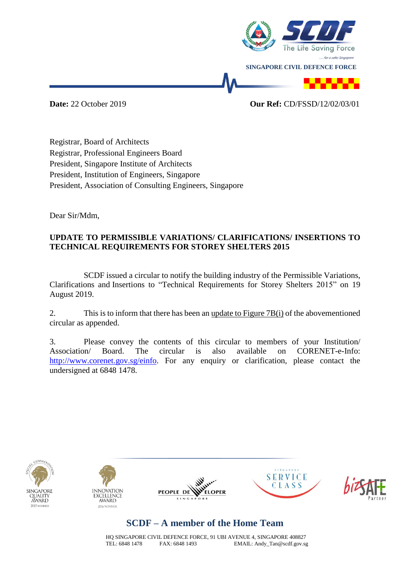

**Date:** 22 October 2019 **Our Ref:** CD/FSSD/12/02/03/01

Registrar, Board of Architects Registrar, Professional Engineers Board President, Singapore Institute of Architects President, Institution of Engineers, Singapore President, Association of Consulting Engineers, Singapore

Dear Sir/Mdm,

### **UPDATE TO PERMISSIBLE VARIATIONS/ CLARIFICATIONS/ INSERTIONS TO TECHNICAL REQUIREMENTS FOR STOREY SHELTERS 2015**

SCDF issued a circular to notify the building industry of the Permissible Variations, Clarifications and Insertions to "Technical Requirements for Storey Shelters 2015" on 19 August 2019.

2. This is to inform that there has been an update to Figure 7B(i) of the abovementioned circular as appended.

3. Please convey the contents of this circular to members of your Institution/ Association/ Board. The circular is also available on CORENET-e-Info: [http://www.corenet.gov.sg/einfo.](http://www.corenet.gov.sg/einfo) For any enquiry or clarification, please contact the undersigned at 6848 1478.











# **SCDF – A member of the Home Team**

HQ SINGAPORE CIVIL DEFENCE FORCE, 91 UBI AVENUE 4, SINGAPORE 408827 TEL: 6848 1478 FAX: 6848 1493 EMAIL: Andy\_Tan@scdf.gov.sg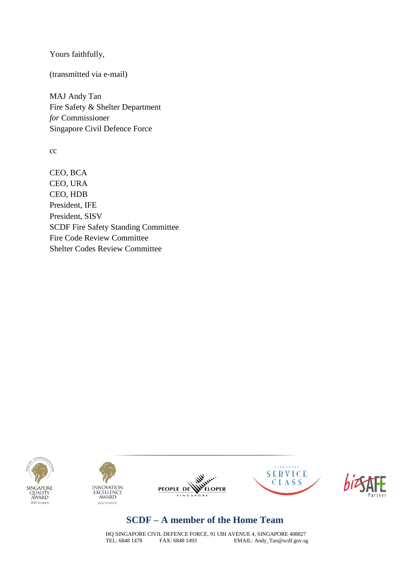Yours faithfully,

(transmitted via e-mail)

MAJ Andy Tan Fire Safety & Shelter Department *for* Commissioner Singapore Civil Defence Force

cc

CEO, BCA CEO, URA CEO, HDB President, IFE President, SISV SCDF Fire Safety Standing Committee Fire Code Review Committee Shelter Codes Review Committee











## **SCDF – A member of the Home Team**

HQ SINGAPORE CIVIL DEFENCE FORCE, 91 UBI AVENUE 4, SINGAPORE 408827<br>TEL: 6848 1478 FAX: 6848 1493 EMAIL: Andy\_Tan@scdf.gov.sg EMAIL: Andy\_Tan@scdf.gov.sg